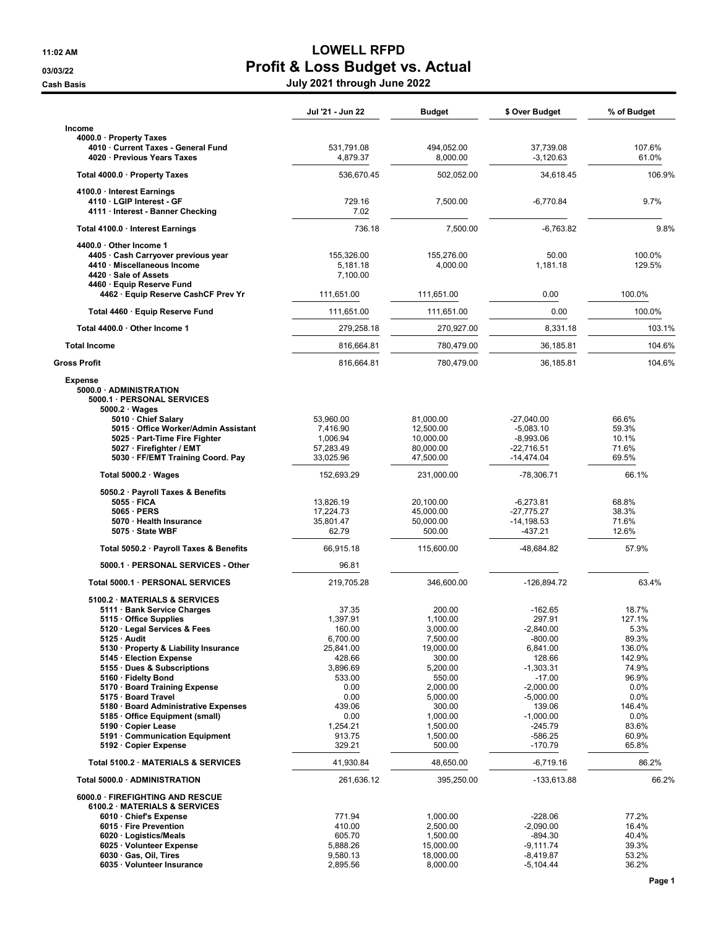## 11:02 AM **LOWELL RFPD** 03/03/22 Profit & Loss Budget vs. Actual

Cash Basis July 2021 through June 2022

|                                                                                                                                                                                                                                                                | Jul '21 - Jun 22                                               | Budget                                                            | \$ Over Budget                                                           | % of Budget                                          |
|----------------------------------------------------------------------------------------------------------------------------------------------------------------------------------------------------------------------------------------------------------------|----------------------------------------------------------------|-------------------------------------------------------------------|--------------------------------------------------------------------------|------------------------------------------------------|
| Income                                                                                                                                                                                                                                                         |                                                                |                                                                   |                                                                          |                                                      |
| 4000.0 · Property Taxes<br>4010 · Current Taxes - General Fund<br>4020 · Previous Years Taxes                                                                                                                                                                  | 531,791.08<br>4,879.37                                         | 494,052.00<br>8,000.00                                            | 37,739.08<br>$-3,120.63$                                                 | 107.6%<br>61.0%                                      |
| Total 4000.0 · Property Taxes                                                                                                                                                                                                                                  | 536,670.45                                                     | 502,052.00                                                        | 34,618.45                                                                | 106.9%                                               |
| 4100.0 · Interest Earnings<br>4110 · LGIP Interest - GF<br>4111 · Interest - Banner Checking                                                                                                                                                                   | 729.16<br>7.02                                                 | 7,500.00                                                          | $-6,770.84$                                                              | 9.7%                                                 |
| Total 4100.0 · Interest Earnings                                                                                                                                                                                                                               | 736.18                                                         | 7,500.00                                                          | $-6.763.82$                                                              | 9.8%                                                 |
| $4400.0 \cdot$ Other Income 1<br>4405 · Cash Carryover previous year<br>4410 · Miscellaneous Income<br>4420 · Sale of Assets<br>4460 · Equip Reserve Fund                                                                                                      | 155,326.00<br>5,181.18<br>7,100.00                             | 155,276.00<br>4,000.00                                            | 50.00<br>1,181.18                                                        | 100.0%<br>129.5%                                     |
| 4462 · Equip Reserve CashCF Prev Yr                                                                                                                                                                                                                            | 111,651.00                                                     | 111,651.00                                                        | 0.00                                                                     | 100.0%                                               |
| Total 4460 · Equip Reserve Fund                                                                                                                                                                                                                                | 111,651.00                                                     | 111,651.00                                                        | 0.00                                                                     | 100.0%                                               |
| Total 4400.0 · Other Income 1                                                                                                                                                                                                                                  | 279,258.18                                                     | 270,927.00                                                        | 8,331.18                                                                 | 103.1%                                               |
| <b>Total Income</b>                                                                                                                                                                                                                                            | 816,664.81                                                     | 780,479.00                                                        | 36,185.81                                                                | 104.6%                                               |
| <b>Gross Profit</b>                                                                                                                                                                                                                                            | 816,664.81                                                     | 780,479.00                                                        | 36,185.81                                                                | 104.6%                                               |
| <b>Expense</b><br>5000.0 · ADMINISTRATION<br>5000.1 · PERSONAL SERVICES<br>$5000.2 \cdot Wages$<br>5010 Chief Salary<br>5015 · Office Worker/Admin Assistant<br>5025 · Part-Time Fire Fighter<br>5027 · Firefighter / EMT<br>5030 · FF/EMT Training Coord. Pay | 53,960.00<br>7,416.90<br>1,006.94<br>57,283.49<br>33,025.96    | 81,000.00<br>12,500.00<br>10,000.00<br>80,000.00<br>47,500.00     | $-27,040.00$<br>$-5,083.10$<br>$-8,993.06$<br>-22,716.51<br>$-14,474.04$ | 66.6%<br>59.3%<br>10.1%<br>71.6%<br>69.5%            |
|                                                                                                                                                                                                                                                                |                                                                |                                                                   |                                                                          | 66.1%                                                |
| Total 5000.2 $\cdot$ Wages                                                                                                                                                                                                                                     | 152,693.29                                                     | 231,000.00                                                        | -78,306.71                                                               |                                                      |
| 5050.2 · Payroll Taxes & Benefits<br>5055 · FICA<br>5065 · PERS<br>5070 · Health Insurance<br>5075 · State WBF                                                                                                                                                 | 13,826.19<br>17,224.73<br>35,801.47<br>62.79                   | 20,100.00<br>45,000.00<br>50,000.00<br>500.00                     | $-6,273.81$<br>-27,775.27<br>$-14, 198.53$<br>-437.21                    | 68.8%<br>38.3%<br>71.6%<br>12.6%                     |
| Total 5050.2 · Payroll Taxes & Benefits                                                                                                                                                                                                                        | 66,915.18                                                      | 115,600.00                                                        | -48,684.82                                                               | 57.9%                                                |
| 5000.1 · PERSONAL SERVICES - Other                                                                                                                                                                                                                             | 96.81                                                          |                                                                   |                                                                          |                                                      |
| Total 5000.1 · PERSONAL SERVICES                                                                                                                                                                                                                               | 219,705.28                                                     | 346,600.00                                                        | -126,894.72                                                              | 63.4%                                                |
| 5100.2 MATERIALS & SERVICES<br>5111 · Bank Service Charges<br>5115 Office Supplies<br>5120 Legal Services & Fees<br>$5125 \cdot$ Audit<br>5130 · Property & Liability Insurance<br>5145 · Election Expense                                                     | 37.35<br>1,397.91<br>160.00<br>6,700.00<br>25,841.00<br>428.66 | 200.00<br>1,100.00<br>3,000.00<br>7,500.00<br>19,000.00<br>300.00 | $-162.65$<br>297.91<br>$-2,840.00$<br>$-800.00$<br>6,841.00<br>128.66    | 18.7%<br>127.1%<br>5.3%<br>89.3%<br>136.0%<br>142.9% |
| 5155 Dues & Subscriptions<br>5160 · Fidelty Bond<br>5170 · Board Training Expense<br>5175 · Board Travel                                                                                                                                                       | 3,896.69<br>533.00<br>0.00<br>0.00                             | 5,200.00<br>550.00<br>2,000.00<br>5,000.00                        | $-1,303.31$<br>$-17.00$<br>$-2,000.00$<br>$-5,000.00$                    | 74.9%<br>96.9%<br>0.0%<br>0.0%                       |
| 5180 · Board Administrative Expenses<br>5185 Office Equipment (small)<br>5190 Copier Lease<br>5191 Communication Equipment<br>5192 · Copier Expense                                                                                                            | 439.06<br>0.00<br>1,254.21<br>913.75<br>329.21                 | 300.00<br>1,000.00<br>1,500.00<br>1,500.00<br>500.00              | 139.06<br>$-1,000.00$<br>-245.79<br>$-586.25$<br>$-170.79$               | 146.4%<br>0.0%<br>83.6%<br>60.9%<br>65.8%            |
| Total 5100.2 · MATERIALS & SERVICES                                                                                                                                                                                                                            | 41,930.84                                                      | 48,650.00                                                         | $-6,719.16$                                                              | 86.2%                                                |
| Total 5000.0 · ADMINISTRATION                                                                                                                                                                                                                                  | 261,636.12                                                     | 395,250.00                                                        | -133,613.88                                                              | 66.2%                                                |
| 6000.0 · FIREFIGHTING AND RESCUE<br>6100.2 MATERIALS & SERVICES<br>6010 · Chief's Expense<br>6015 · Fire Prevention<br>6020 · Logistics/Meals<br>6025 · Volunteer Expense                                                                                      | 771.94<br>410.00<br>605.70                                     | 1,000.00<br>2,500.00<br>1,500.00                                  | $-228.06$<br>$-2,090.00$<br>$-894.30$                                    | 77.2%<br>16.4%<br>40.4%<br>39.3%                     |
| 6030 Gas, Oil, Tires<br>6035 · Volunteer Insurance                                                                                                                                                                                                             | 5,888.26<br>9,580.13<br>2,895.56                               | 15,000.00<br>18,000.00<br>8,000.00                                | -9,111.74<br>-8,419.87<br>$-5,104.44$                                    | 53.2%<br>36.2%                                       |